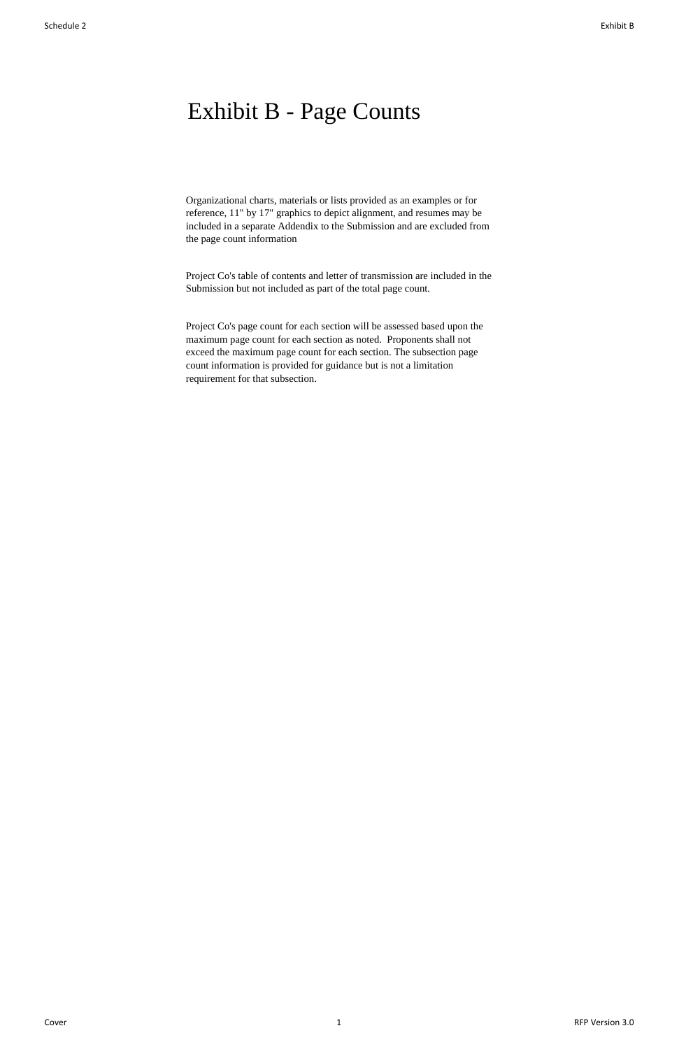## Exhibit B - Page Counts

Organizational charts, materials or lists provided as an examples or for reference, 11" by 17" graphics to depict alignment, and resumes may be included in a separate Addendix to the Submission and are excluded from the page count information

Project Co's table of contents and letter of transmission are included in the Submission but not included as part of the total page count.

Project Co's page count for each section will be assessed based upon the maximum page count for each section as noted. Proponents shall not exceed the maximum page count for each section. The subsection page count information is provided for guidance but is not a limitation requirement for that subsection.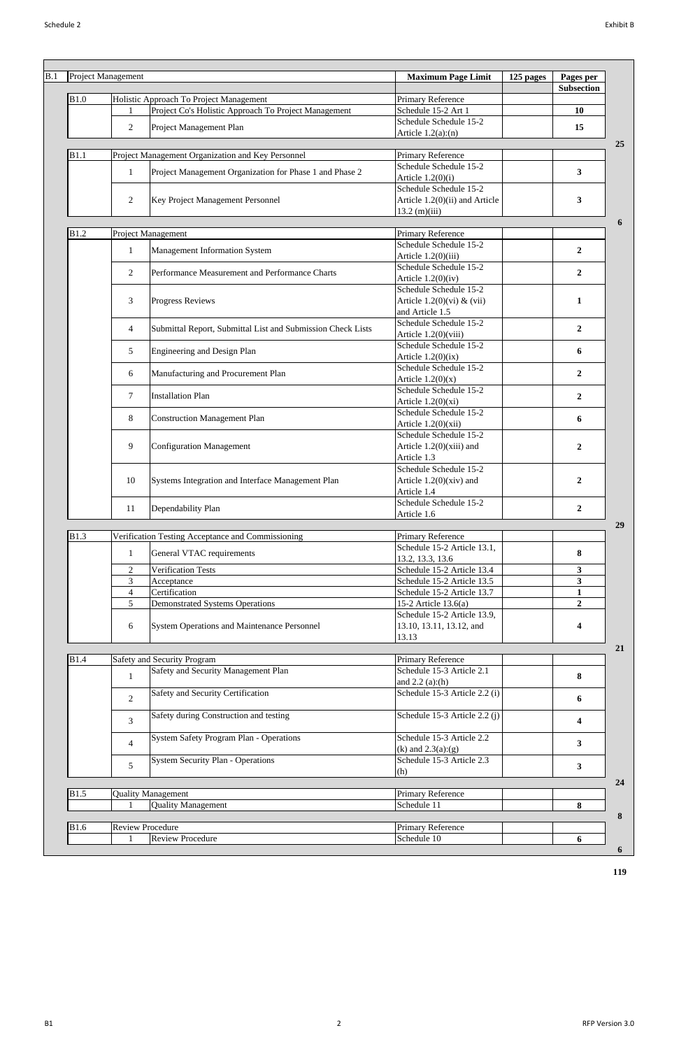| <b>Subsection</b><br><b>B1.0</b><br>Primary Reference<br>Holistic Approach To Project Management<br>Project Co's Holistic Approach To Project Management<br>Schedule 15-2 Art 1<br><b>10</b><br>Schedule Schedule 15-2<br>$\overline{2}$<br>Project Management Plan<br>15<br>Article $1.2(a)(n)$<br>B1.1<br>Project Management Organization and Key Personnel<br>Primary Reference<br>Schedule Schedule 15-2<br>Project Management Organization for Phase 1 and Phase 2<br>1<br>3<br>Article $1.2(0)(i)$<br>Schedule Schedule 15-2<br>$\overline{2}$<br>Key Project Management Personnel<br>Article $1.2(0)(ii)$ and Article<br>3<br>$13.2 \text{ (m)}$ (iii)<br><b>B1.2</b><br>Primary Reference<br>Project Management<br>Schedule Schedule 15-2<br><b>Management Information System</b><br>$\mathbf{1}$<br>$\boldsymbol{2}$<br>Article $1.2(0)(iii)$<br>Schedule Schedule 15-2<br>$\overline{2}$<br>Performance Measurement and Performance Charts<br>$\boldsymbol{2}$<br>Article $1.2(0)(iv)$<br>Schedule Schedule 15-2<br>3<br><b>Progress Reviews</b><br>Article $1.2(0)$ (vi) & (vii)<br>1<br>and Article 1.5<br>Schedule Schedule 15-2<br>Submittal Report, Submittal List and Submission Check Lists<br>$\mathbf{2}$<br>$\overline{4}$<br>Article 1.2(0)(viii)<br>Schedule Schedule 15-2<br>5<br><b>Engineering and Design Plan</b><br>6<br>Article $1.2(0)(ix)$<br>Schedule Schedule 15-2<br>Manufacturing and Procurement Plan<br>6<br>2<br>Article $1.2(0)(x)$<br>Schedule Schedule 15-2<br>$\tau$<br><b>Installation Plan</b><br>$\boldsymbol{2}$<br>Article $1.2(0)(xi)$<br>Schedule Schedule 15-2<br>8<br><b>Construction Management Plan</b><br>6<br>Article $1.2(0)(xii)$<br>Schedule Schedule 15-2<br>9<br><b>Configuration Management</b><br>Article $1.2(0)(xiii)$ and<br>$\boldsymbol{2}$<br>Article 1.3<br>Schedule Schedule 15-2<br>Systems Integration and Interface Management Plan<br>$\boldsymbol{2}$<br>10<br>Article $1.2(0)(\text{xiv})$ and<br>Article 1.4<br>Schedule Schedule 15-2<br>$\boldsymbol{2}$<br>Dependability Plan<br>11<br>Article 1.6<br><b>B1.3</b><br>Verification Testing Acceptance and Commissioning<br>Primary Reference<br>Schedule 15-2 Article 13.1,<br>General VTAC requirements<br>$\mathbf{1}$<br>8<br>13.2, 13.3, 13.6<br>$\overline{2}$<br><b>Verification Tests</b><br>Schedule 15-2 Article 13.4<br>$\mathbf{3}$<br>3<br>3<br>Schedule 15-2 Article 13.5<br>Acceptance<br>Certification<br>$\overline{4}$<br>Schedule 15-2 Article 13.7<br>$\mathbf{1}$<br>5<br><b>Demonstrated Systems Operations</b><br>$\overline{2}$<br>15-2 Article $13.6(a)$<br>Schedule 15-2 Article 13.9,<br>13.10, 13.11, 13.12, and<br><b>System Operations and Maintenance Personnel</b><br>$\overline{\mathbf{4}}$<br>6<br>13.13<br><b>B1.4</b><br>Safety and Security Program<br>Primary Reference<br>Safety and Security Management Plan<br>Schedule 15-3 Article 2.1<br>$\mathbf{1}$<br>8<br>and $2.2$ (a):(h)<br>Safety and Security Certification<br>Schedule 15-3 Article 2.2 (i)<br>$\overline{2}$<br>6<br>Safety during Construction and testing<br>Schedule 15-3 Article 2.2 (j)<br>$\overline{3}$<br>$\overline{\mathbf{4}}$ |
|--------------------------------------------------------------------------------------------------------------------------------------------------------------------------------------------------------------------------------------------------------------------------------------------------------------------------------------------------------------------------------------------------------------------------------------------------------------------------------------------------------------------------------------------------------------------------------------------------------------------------------------------------------------------------------------------------------------------------------------------------------------------------------------------------------------------------------------------------------------------------------------------------------------------------------------------------------------------------------------------------------------------------------------------------------------------------------------------------------------------------------------------------------------------------------------------------------------------------------------------------------------------------------------------------------------------------------------------------------------------------------------------------------------------------------------------------------------------------------------------------------------------------------------------------------------------------------------------------------------------------------------------------------------------------------------------------------------------------------------------------------------------------------------------------------------------------------------------------------------------------------------------------------------------------------------------------------------------------------------------------------------------------------------------------------------------------------------------------------------------------------------------------------------------------------------------------------------------------------------------------------------------------------------------------------------------------------------------------------------------------------------------------------------------------------------------------------------------------------------------------------------------------------------------------------------------------------------------------------------------------------------------------------------------------------------------------------------------------------------------------------------------------------------------------------------------------------------------------------------------------------------------------------------------------------------------------------------------------------------------------------------------------------------------------------------------------------------------------------------------------------------------------------------------------------|
|                                                                                                                                                                                                                                                                                                                                                                                                                                                                                                                                                                                                                                                                                                                                                                                                                                                                                                                                                                                                                                                                                                                                                                                                                                                                                                                                                                                                                                                                                                                                                                                                                                                                                                                                                                                                                                                                                                                                                                                                                                                                                                                                                                                                                                                                                                                                                                                                                                                                                                                                                                                                                                                                                                                                                                                                                                                                                                                                                                                                                                                                                                                                                                                |
|                                                                                                                                                                                                                                                                                                                                                                                                                                                                                                                                                                                                                                                                                                                                                                                                                                                                                                                                                                                                                                                                                                                                                                                                                                                                                                                                                                                                                                                                                                                                                                                                                                                                                                                                                                                                                                                                                                                                                                                                                                                                                                                                                                                                                                                                                                                                                                                                                                                                                                                                                                                                                                                                                                                                                                                                                                                                                                                                                                                                                                                                                                                                                                                |
|                                                                                                                                                                                                                                                                                                                                                                                                                                                                                                                                                                                                                                                                                                                                                                                                                                                                                                                                                                                                                                                                                                                                                                                                                                                                                                                                                                                                                                                                                                                                                                                                                                                                                                                                                                                                                                                                                                                                                                                                                                                                                                                                                                                                                                                                                                                                                                                                                                                                                                                                                                                                                                                                                                                                                                                                                                                                                                                                                                                                                                                                                                                                                                                |
|                                                                                                                                                                                                                                                                                                                                                                                                                                                                                                                                                                                                                                                                                                                                                                                                                                                                                                                                                                                                                                                                                                                                                                                                                                                                                                                                                                                                                                                                                                                                                                                                                                                                                                                                                                                                                                                                                                                                                                                                                                                                                                                                                                                                                                                                                                                                                                                                                                                                                                                                                                                                                                                                                                                                                                                                                                                                                                                                                                                                                                                                                                                                                                                |
|                                                                                                                                                                                                                                                                                                                                                                                                                                                                                                                                                                                                                                                                                                                                                                                                                                                                                                                                                                                                                                                                                                                                                                                                                                                                                                                                                                                                                                                                                                                                                                                                                                                                                                                                                                                                                                                                                                                                                                                                                                                                                                                                                                                                                                                                                                                                                                                                                                                                                                                                                                                                                                                                                                                                                                                                                                                                                                                                                                                                                                                                                                                                                                                |
|                                                                                                                                                                                                                                                                                                                                                                                                                                                                                                                                                                                                                                                                                                                                                                                                                                                                                                                                                                                                                                                                                                                                                                                                                                                                                                                                                                                                                                                                                                                                                                                                                                                                                                                                                                                                                                                                                                                                                                                                                                                                                                                                                                                                                                                                                                                                                                                                                                                                                                                                                                                                                                                                                                                                                                                                                                                                                                                                                                                                                                                                                                                                                                                |
|                                                                                                                                                                                                                                                                                                                                                                                                                                                                                                                                                                                                                                                                                                                                                                                                                                                                                                                                                                                                                                                                                                                                                                                                                                                                                                                                                                                                                                                                                                                                                                                                                                                                                                                                                                                                                                                                                                                                                                                                                                                                                                                                                                                                                                                                                                                                                                                                                                                                                                                                                                                                                                                                                                                                                                                                                                                                                                                                                                                                                                                                                                                                                                                |
|                                                                                                                                                                                                                                                                                                                                                                                                                                                                                                                                                                                                                                                                                                                                                                                                                                                                                                                                                                                                                                                                                                                                                                                                                                                                                                                                                                                                                                                                                                                                                                                                                                                                                                                                                                                                                                                                                                                                                                                                                                                                                                                                                                                                                                                                                                                                                                                                                                                                                                                                                                                                                                                                                                                                                                                                                                                                                                                                                                                                                                                                                                                                                                                |
|                                                                                                                                                                                                                                                                                                                                                                                                                                                                                                                                                                                                                                                                                                                                                                                                                                                                                                                                                                                                                                                                                                                                                                                                                                                                                                                                                                                                                                                                                                                                                                                                                                                                                                                                                                                                                                                                                                                                                                                                                                                                                                                                                                                                                                                                                                                                                                                                                                                                                                                                                                                                                                                                                                                                                                                                                                                                                                                                                                                                                                                                                                                                                                                |
|                                                                                                                                                                                                                                                                                                                                                                                                                                                                                                                                                                                                                                                                                                                                                                                                                                                                                                                                                                                                                                                                                                                                                                                                                                                                                                                                                                                                                                                                                                                                                                                                                                                                                                                                                                                                                                                                                                                                                                                                                                                                                                                                                                                                                                                                                                                                                                                                                                                                                                                                                                                                                                                                                                                                                                                                                                                                                                                                                                                                                                                                                                                                                                                |
|                                                                                                                                                                                                                                                                                                                                                                                                                                                                                                                                                                                                                                                                                                                                                                                                                                                                                                                                                                                                                                                                                                                                                                                                                                                                                                                                                                                                                                                                                                                                                                                                                                                                                                                                                                                                                                                                                                                                                                                                                                                                                                                                                                                                                                                                                                                                                                                                                                                                                                                                                                                                                                                                                                                                                                                                                                                                                                                                                                                                                                                                                                                                                                                |
|                                                                                                                                                                                                                                                                                                                                                                                                                                                                                                                                                                                                                                                                                                                                                                                                                                                                                                                                                                                                                                                                                                                                                                                                                                                                                                                                                                                                                                                                                                                                                                                                                                                                                                                                                                                                                                                                                                                                                                                                                                                                                                                                                                                                                                                                                                                                                                                                                                                                                                                                                                                                                                                                                                                                                                                                                                                                                                                                                                                                                                                                                                                                                                                |
|                                                                                                                                                                                                                                                                                                                                                                                                                                                                                                                                                                                                                                                                                                                                                                                                                                                                                                                                                                                                                                                                                                                                                                                                                                                                                                                                                                                                                                                                                                                                                                                                                                                                                                                                                                                                                                                                                                                                                                                                                                                                                                                                                                                                                                                                                                                                                                                                                                                                                                                                                                                                                                                                                                                                                                                                                                                                                                                                                                                                                                                                                                                                                                                |
|                                                                                                                                                                                                                                                                                                                                                                                                                                                                                                                                                                                                                                                                                                                                                                                                                                                                                                                                                                                                                                                                                                                                                                                                                                                                                                                                                                                                                                                                                                                                                                                                                                                                                                                                                                                                                                                                                                                                                                                                                                                                                                                                                                                                                                                                                                                                                                                                                                                                                                                                                                                                                                                                                                                                                                                                                                                                                                                                                                                                                                                                                                                                                                                |
|                                                                                                                                                                                                                                                                                                                                                                                                                                                                                                                                                                                                                                                                                                                                                                                                                                                                                                                                                                                                                                                                                                                                                                                                                                                                                                                                                                                                                                                                                                                                                                                                                                                                                                                                                                                                                                                                                                                                                                                                                                                                                                                                                                                                                                                                                                                                                                                                                                                                                                                                                                                                                                                                                                                                                                                                                                                                                                                                                                                                                                                                                                                                                                                |
|                                                                                                                                                                                                                                                                                                                                                                                                                                                                                                                                                                                                                                                                                                                                                                                                                                                                                                                                                                                                                                                                                                                                                                                                                                                                                                                                                                                                                                                                                                                                                                                                                                                                                                                                                                                                                                                                                                                                                                                                                                                                                                                                                                                                                                                                                                                                                                                                                                                                                                                                                                                                                                                                                                                                                                                                                                                                                                                                                                                                                                                                                                                                                                                |
|                                                                                                                                                                                                                                                                                                                                                                                                                                                                                                                                                                                                                                                                                                                                                                                                                                                                                                                                                                                                                                                                                                                                                                                                                                                                                                                                                                                                                                                                                                                                                                                                                                                                                                                                                                                                                                                                                                                                                                                                                                                                                                                                                                                                                                                                                                                                                                                                                                                                                                                                                                                                                                                                                                                                                                                                                                                                                                                                                                                                                                                                                                                                                                                |
|                                                                                                                                                                                                                                                                                                                                                                                                                                                                                                                                                                                                                                                                                                                                                                                                                                                                                                                                                                                                                                                                                                                                                                                                                                                                                                                                                                                                                                                                                                                                                                                                                                                                                                                                                                                                                                                                                                                                                                                                                                                                                                                                                                                                                                                                                                                                                                                                                                                                                                                                                                                                                                                                                                                                                                                                                                                                                                                                                                                                                                                                                                                                                                                |
|                                                                                                                                                                                                                                                                                                                                                                                                                                                                                                                                                                                                                                                                                                                                                                                                                                                                                                                                                                                                                                                                                                                                                                                                                                                                                                                                                                                                                                                                                                                                                                                                                                                                                                                                                                                                                                                                                                                                                                                                                                                                                                                                                                                                                                                                                                                                                                                                                                                                                                                                                                                                                                                                                                                                                                                                                                                                                                                                                                                                                                                                                                                                                                                |
|                                                                                                                                                                                                                                                                                                                                                                                                                                                                                                                                                                                                                                                                                                                                                                                                                                                                                                                                                                                                                                                                                                                                                                                                                                                                                                                                                                                                                                                                                                                                                                                                                                                                                                                                                                                                                                                                                                                                                                                                                                                                                                                                                                                                                                                                                                                                                                                                                                                                                                                                                                                                                                                                                                                                                                                                                                                                                                                                                                                                                                                                                                                                                                                |
|                                                                                                                                                                                                                                                                                                                                                                                                                                                                                                                                                                                                                                                                                                                                                                                                                                                                                                                                                                                                                                                                                                                                                                                                                                                                                                                                                                                                                                                                                                                                                                                                                                                                                                                                                                                                                                                                                                                                                                                                                                                                                                                                                                                                                                                                                                                                                                                                                                                                                                                                                                                                                                                                                                                                                                                                                                                                                                                                                                                                                                                                                                                                                                                |
|                                                                                                                                                                                                                                                                                                                                                                                                                                                                                                                                                                                                                                                                                                                                                                                                                                                                                                                                                                                                                                                                                                                                                                                                                                                                                                                                                                                                                                                                                                                                                                                                                                                                                                                                                                                                                                                                                                                                                                                                                                                                                                                                                                                                                                                                                                                                                                                                                                                                                                                                                                                                                                                                                                                                                                                                                                                                                                                                                                                                                                                                                                                                                                                |
|                                                                                                                                                                                                                                                                                                                                                                                                                                                                                                                                                                                                                                                                                                                                                                                                                                                                                                                                                                                                                                                                                                                                                                                                                                                                                                                                                                                                                                                                                                                                                                                                                                                                                                                                                                                                                                                                                                                                                                                                                                                                                                                                                                                                                                                                                                                                                                                                                                                                                                                                                                                                                                                                                                                                                                                                                                                                                                                                                                                                                                                                                                                                                                                |
|                                                                                                                                                                                                                                                                                                                                                                                                                                                                                                                                                                                                                                                                                                                                                                                                                                                                                                                                                                                                                                                                                                                                                                                                                                                                                                                                                                                                                                                                                                                                                                                                                                                                                                                                                                                                                                                                                                                                                                                                                                                                                                                                                                                                                                                                                                                                                                                                                                                                                                                                                                                                                                                                                                                                                                                                                                                                                                                                                                                                                                                                                                                                                                                |
|                                                                                                                                                                                                                                                                                                                                                                                                                                                                                                                                                                                                                                                                                                                                                                                                                                                                                                                                                                                                                                                                                                                                                                                                                                                                                                                                                                                                                                                                                                                                                                                                                                                                                                                                                                                                                                                                                                                                                                                                                                                                                                                                                                                                                                                                                                                                                                                                                                                                                                                                                                                                                                                                                                                                                                                                                                                                                                                                                                                                                                                                                                                                                                                |
|                                                                                                                                                                                                                                                                                                                                                                                                                                                                                                                                                                                                                                                                                                                                                                                                                                                                                                                                                                                                                                                                                                                                                                                                                                                                                                                                                                                                                                                                                                                                                                                                                                                                                                                                                                                                                                                                                                                                                                                                                                                                                                                                                                                                                                                                                                                                                                                                                                                                                                                                                                                                                                                                                                                                                                                                                                                                                                                                                                                                                                                                                                                                                                                |
|                                                                                                                                                                                                                                                                                                                                                                                                                                                                                                                                                                                                                                                                                                                                                                                                                                                                                                                                                                                                                                                                                                                                                                                                                                                                                                                                                                                                                                                                                                                                                                                                                                                                                                                                                                                                                                                                                                                                                                                                                                                                                                                                                                                                                                                                                                                                                                                                                                                                                                                                                                                                                                                                                                                                                                                                                                                                                                                                                                                                                                                                                                                                                                                |
|                                                                                                                                                                                                                                                                                                                                                                                                                                                                                                                                                                                                                                                                                                                                                                                                                                                                                                                                                                                                                                                                                                                                                                                                                                                                                                                                                                                                                                                                                                                                                                                                                                                                                                                                                                                                                                                                                                                                                                                                                                                                                                                                                                                                                                                                                                                                                                                                                                                                                                                                                                                                                                                                                                                                                                                                                                                                                                                                                                                                                                                                                                                                                                                |
|                                                                                                                                                                                                                                                                                                                                                                                                                                                                                                                                                                                                                                                                                                                                                                                                                                                                                                                                                                                                                                                                                                                                                                                                                                                                                                                                                                                                                                                                                                                                                                                                                                                                                                                                                                                                                                                                                                                                                                                                                                                                                                                                                                                                                                                                                                                                                                                                                                                                                                                                                                                                                                                                                                                                                                                                                                                                                                                                                                                                                                                                                                                                                                                |
|                                                                                                                                                                                                                                                                                                                                                                                                                                                                                                                                                                                                                                                                                                                                                                                                                                                                                                                                                                                                                                                                                                                                                                                                                                                                                                                                                                                                                                                                                                                                                                                                                                                                                                                                                                                                                                                                                                                                                                                                                                                                                                                                                                                                                                                                                                                                                                                                                                                                                                                                                                                                                                                                                                                                                                                                                                                                                                                                                                                                                                                                                                                                                                                |
|                                                                                                                                                                                                                                                                                                                                                                                                                                                                                                                                                                                                                                                                                                                                                                                                                                                                                                                                                                                                                                                                                                                                                                                                                                                                                                                                                                                                                                                                                                                                                                                                                                                                                                                                                                                                                                                                                                                                                                                                                                                                                                                                                                                                                                                                                                                                                                                                                                                                                                                                                                                                                                                                                                                                                                                                                                                                                                                                                                                                                                                                                                                                                                                |
|                                                                                                                                                                                                                                                                                                                                                                                                                                                                                                                                                                                                                                                                                                                                                                                                                                                                                                                                                                                                                                                                                                                                                                                                                                                                                                                                                                                                                                                                                                                                                                                                                                                                                                                                                                                                                                                                                                                                                                                                                                                                                                                                                                                                                                                                                                                                                                                                                                                                                                                                                                                                                                                                                                                                                                                                                                                                                                                                                                                                                                                                                                                                                                                |
|                                                                                                                                                                                                                                                                                                                                                                                                                                                                                                                                                                                                                                                                                                                                                                                                                                                                                                                                                                                                                                                                                                                                                                                                                                                                                                                                                                                                                                                                                                                                                                                                                                                                                                                                                                                                                                                                                                                                                                                                                                                                                                                                                                                                                                                                                                                                                                                                                                                                                                                                                                                                                                                                                                                                                                                                                                                                                                                                                                                                                                                                                                                                                                                |
|                                                                                                                                                                                                                                                                                                                                                                                                                                                                                                                                                                                                                                                                                                                                                                                                                                                                                                                                                                                                                                                                                                                                                                                                                                                                                                                                                                                                                                                                                                                                                                                                                                                                                                                                                                                                                                                                                                                                                                                                                                                                                                                                                                                                                                                                                                                                                                                                                                                                                                                                                                                                                                                                                                                                                                                                                                                                                                                                                                                                                                                                                                                                                                                |
|                                                                                                                                                                                                                                                                                                                                                                                                                                                                                                                                                                                                                                                                                                                                                                                                                                                                                                                                                                                                                                                                                                                                                                                                                                                                                                                                                                                                                                                                                                                                                                                                                                                                                                                                                                                                                                                                                                                                                                                                                                                                                                                                                                                                                                                                                                                                                                                                                                                                                                                                                                                                                                                                                                                                                                                                                                                                                                                                                                                                                                                                                                                                                                                |
|                                                                                                                                                                                                                                                                                                                                                                                                                                                                                                                                                                                                                                                                                                                                                                                                                                                                                                                                                                                                                                                                                                                                                                                                                                                                                                                                                                                                                                                                                                                                                                                                                                                                                                                                                                                                                                                                                                                                                                                                                                                                                                                                                                                                                                                                                                                                                                                                                                                                                                                                                                                                                                                                                                                                                                                                                                                                                                                                                                                                                                                                                                                                                                                |
|                                                                                                                                                                                                                                                                                                                                                                                                                                                                                                                                                                                                                                                                                                                                                                                                                                                                                                                                                                                                                                                                                                                                                                                                                                                                                                                                                                                                                                                                                                                                                                                                                                                                                                                                                                                                                                                                                                                                                                                                                                                                                                                                                                                                                                                                                                                                                                                                                                                                                                                                                                                                                                                                                                                                                                                                                                                                                                                                                                                                                                                                                                                                                                                |
|                                                                                                                                                                                                                                                                                                                                                                                                                                                                                                                                                                                                                                                                                                                                                                                                                                                                                                                                                                                                                                                                                                                                                                                                                                                                                                                                                                                                                                                                                                                                                                                                                                                                                                                                                                                                                                                                                                                                                                                                                                                                                                                                                                                                                                                                                                                                                                                                                                                                                                                                                                                                                                                                                                                                                                                                                                                                                                                                                                                                                                                                                                                                                                                |
|                                                                                                                                                                                                                                                                                                                                                                                                                                                                                                                                                                                                                                                                                                                                                                                                                                                                                                                                                                                                                                                                                                                                                                                                                                                                                                                                                                                                                                                                                                                                                                                                                                                                                                                                                                                                                                                                                                                                                                                                                                                                                                                                                                                                                                                                                                                                                                                                                                                                                                                                                                                                                                                                                                                                                                                                                                                                                                                                                                                                                                                                                                                                                                                |
|                                                                                                                                                                                                                                                                                                                                                                                                                                                                                                                                                                                                                                                                                                                                                                                                                                                                                                                                                                                                                                                                                                                                                                                                                                                                                                                                                                                                                                                                                                                                                                                                                                                                                                                                                                                                                                                                                                                                                                                                                                                                                                                                                                                                                                                                                                                                                                                                                                                                                                                                                                                                                                                                                                                                                                                                                                                                                                                                                                                                                                                                                                                                                                                |
|                                                                                                                                                                                                                                                                                                                                                                                                                                                                                                                                                                                                                                                                                                                                                                                                                                                                                                                                                                                                                                                                                                                                                                                                                                                                                                                                                                                                                                                                                                                                                                                                                                                                                                                                                                                                                                                                                                                                                                                                                                                                                                                                                                                                                                                                                                                                                                                                                                                                                                                                                                                                                                                                                                                                                                                                                                                                                                                                                                                                                                                                                                                                                                                |
|                                                                                                                                                                                                                                                                                                                                                                                                                                                                                                                                                                                                                                                                                                                                                                                                                                                                                                                                                                                                                                                                                                                                                                                                                                                                                                                                                                                                                                                                                                                                                                                                                                                                                                                                                                                                                                                                                                                                                                                                                                                                                                                                                                                                                                                                                                                                                                                                                                                                                                                                                                                                                                                                                                                                                                                                                                                                                                                                                                                                                                                                                                                                                                                |
|                                                                                                                                                                                                                                                                                                                                                                                                                                                                                                                                                                                                                                                                                                                                                                                                                                                                                                                                                                                                                                                                                                                                                                                                                                                                                                                                                                                                                                                                                                                                                                                                                                                                                                                                                                                                                                                                                                                                                                                                                                                                                                                                                                                                                                                                                                                                                                                                                                                                                                                                                                                                                                                                                                                                                                                                                                                                                                                                                                                                                                                                                                                                                                                |
|                                                                                                                                                                                                                                                                                                                                                                                                                                                                                                                                                                                                                                                                                                                                                                                                                                                                                                                                                                                                                                                                                                                                                                                                                                                                                                                                                                                                                                                                                                                                                                                                                                                                                                                                                                                                                                                                                                                                                                                                                                                                                                                                                                                                                                                                                                                                                                                                                                                                                                                                                                                                                                                                                                                                                                                                                                                                                                                                                                                                                                                                                                                                                                                |
|                                                                                                                                                                                                                                                                                                                                                                                                                                                                                                                                                                                                                                                                                                                                                                                                                                                                                                                                                                                                                                                                                                                                                                                                                                                                                                                                                                                                                                                                                                                                                                                                                                                                                                                                                                                                                                                                                                                                                                                                                                                                                                                                                                                                                                                                                                                                                                                                                                                                                                                                                                                                                                                                                                                                                                                                                                                                                                                                                                                                                                                                                                                                                                                |
|                                                                                                                                                                                                                                                                                                                                                                                                                                                                                                                                                                                                                                                                                                                                                                                                                                                                                                                                                                                                                                                                                                                                                                                                                                                                                                                                                                                                                                                                                                                                                                                                                                                                                                                                                                                                                                                                                                                                                                                                                                                                                                                                                                                                                                                                                                                                                                                                                                                                                                                                                                                                                                                                                                                                                                                                                                                                                                                                                                                                                                                                                                                                                                                |
|                                                                                                                                                                                                                                                                                                                                                                                                                                                                                                                                                                                                                                                                                                                                                                                                                                                                                                                                                                                                                                                                                                                                                                                                                                                                                                                                                                                                                                                                                                                                                                                                                                                                                                                                                                                                                                                                                                                                                                                                                                                                                                                                                                                                                                                                                                                                                                                                                                                                                                                                                                                                                                                                                                                                                                                                                                                                                                                                                                                                                                                                                                                                                                                |
|                                                                                                                                                                                                                                                                                                                                                                                                                                                                                                                                                                                                                                                                                                                                                                                                                                                                                                                                                                                                                                                                                                                                                                                                                                                                                                                                                                                                                                                                                                                                                                                                                                                                                                                                                                                                                                                                                                                                                                                                                                                                                                                                                                                                                                                                                                                                                                                                                                                                                                                                                                                                                                                                                                                                                                                                                                                                                                                                                                                                                                                                                                                                                                                |
|                                                                                                                                                                                                                                                                                                                                                                                                                                                                                                                                                                                                                                                                                                                                                                                                                                                                                                                                                                                                                                                                                                                                                                                                                                                                                                                                                                                                                                                                                                                                                                                                                                                                                                                                                                                                                                                                                                                                                                                                                                                                                                                                                                                                                                                                                                                                                                                                                                                                                                                                                                                                                                                                                                                                                                                                                                                                                                                                                                                                                                                                                                                                                                                |
|                                                                                                                                                                                                                                                                                                                                                                                                                                                                                                                                                                                                                                                                                                                                                                                                                                                                                                                                                                                                                                                                                                                                                                                                                                                                                                                                                                                                                                                                                                                                                                                                                                                                                                                                                                                                                                                                                                                                                                                                                                                                                                                                                                                                                                                                                                                                                                                                                                                                                                                                                                                                                                                                                                                                                                                                                                                                                                                                                                                                                                                                                                                                                                                |
|                                                                                                                                                                                                                                                                                                                                                                                                                                                                                                                                                                                                                                                                                                                                                                                                                                                                                                                                                                                                                                                                                                                                                                                                                                                                                                                                                                                                                                                                                                                                                                                                                                                                                                                                                                                                                                                                                                                                                                                                                                                                                                                                                                                                                                                                                                                                                                                                                                                                                                                                                                                                                                                                                                                                                                                                                                                                                                                                                                                                                                                                                                                                                                                |
|                                                                                                                                                                                                                                                                                                                                                                                                                                                                                                                                                                                                                                                                                                                                                                                                                                                                                                                                                                                                                                                                                                                                                                                                                                                                                                                                                                                                                                                                                                                                                                                                                                                                                                                                                                                                                                                                                                                                                                                                                                                                                                                                                                                                                                                                                                                                                                                                                                                                                                                                                                                                                                                                                                                                                                                                                                                                                                                                                                                                                                                                                                                                                                                |
|                                                                                                                                                                                                                                                                                                                                                                                                                                                                                                                                                                                                                                                                                                                                                                                                                                                                                                                                                                                                                                                                                                                                                                                                                                                                                                                                                                                                                                                                                                                                                                                                                                                                                                                                                                                                                                                                                                                                                                                                                                                                                                                                                                                                                                                                                                                                                                                                                                                                                                                                                                                                                                                                                                                                                                                                                                                                                                                                                                                                                                                                                                                                                                                |
|                                                                                                                                                                                                                                                                                                                                                                                                                                                                                                                                                                                                                                                                                                                                                                                                                                                                                                                                                                                                                                                                                                                                                                                                                                                                                                                                                                                                                                                                                                                                                                                                                                                                                                                                                                                                                                                                                                                                                                                                                                                                                                                                                                                                                                                                                                                                                                                                                                                                                                                                                                                                                                                                                                                                                                                                                                                                                                                                                                                                                                                                                                                                                                                |
|                                                                                                                                                                                                                                                                                                                                                                                                                                                                                                                                                                                                                                                                                                                                                                                                                                                                                                                                                                                                                                                                                                                                                                                                                                                                                                                                                                                                                                                                                                                                                                                                                                                                                                                                                                                                                                                                                                                                                                                                                                                                                                                                                                                                                                                                                                                                                                                                                                                                                                                                                                                                                                                                                                                                                                                                                                                                                                                                                                                                                                                                                                                                                                                |
|                                                                                                                                                                                                                                                                                                                                                                                                                                                                                                                                                                                                                                                                                                                                                                                                                                                                                                                                                                                                                                                                                                                                                                                                                                                                                                                                                                                                                                                                                                                                                                                                                                                                                                                                                                                                                                                                                                                                                                                                                                                                                                                                                                                                                                                                                                                                                                                                                                                                                                                                                                                                                                                                                                                                                                                                                                                                                                                                                                                                                                                                                                                                                                                |
|                                                                                                                                                                                                                                                                                                                                                                                                                                                                                                                                                                                                                                                                                                                                                                                                                                                                                                                                                                                                                                                                                                                                                                                                                                                                                                                                                                                                                                                                                                                                                                                                                                                                                                                                                                                                                                                                                                                                                                                                                                                                                                                                                                                                                                                                                                                                                                                                                                                                                                                                                                                                                                                                                                                                                                                                                                                                                                                                                                                                                                                                                                                                                                                |
| <b>System Safety Program Plan - Operations</b><br>Schedule 15-3 Article 2.2                                                                                                                                                                                                                                                                                                                                                                                                                                                                                                                                                                                                                                                                                                                                                                                                                                                                                                                                                                                                                                                                                                                                                                                                                                                                                                                                                                                                                                                                                                                                                                                                                                                                                                                                                                                                                                                                                                                                                                                                                                                                                                                                                                                                                                                                                                                                                                                                                                                                                                                                                                                                                                                                                                                                                                                                                                                                                                                                                                                                                                                                                                    |
| $\overline{4}$<br>3<br>(k) and $2.3(a)(g)$                                                                                                                                                                                                                                                                                                                                                                                                                                                                                                                                                                                                                                                                                                                                                                                                                                                                                                                                                                                                                                                                                                                                                                                                                                                                                                                                                                                                                                                                                                                                                                                                                                                                                                                                                                                                                                                                                                                                                                                                                                                                                                                                                                                                                                                                                                                                                                                                                                                                                                                                                                                                                                                                                                                                                                                                                                                                                                                                                                                                                                                                                                                                     |
|                                                                                                                                                                                                                                                                                                                                                                                                                                                                                                                                                                                                                                                                                                                                                                                                                                                                                                                                                                                                                                                                                                                                                                                                                                                                                                                                                                                                                                                                                                                                                                                                                                                                                                                                                                                                                                                                                                                                                                                                                                                                                                                                                                                                                                                                                                                                                                                                                                                                                                                                                                                                                                                                                                                                                                                                                                                                                                                                                                                                                                                                                                                                                                                |
| <b>System Security Plan - Operations</b><br>Schedule 15-3 Article 2.3<br>5 <sup>5</sup><br>$\mathbf{3}$<br>(h)                                                                                                                                                                                                                                                                                                                                                                                                                                                                                                                                                                                                                                                                                                                                                                                                                                                                                                                                                                                                                                                                                                                                                                                                                                                                                                                                                                                                                                                                                                                                                                                                                                                                                                                                                                                                                                                                                                                                                                                                                                                                                                                                                                                                                                                                                                                                                                                                                                                                                                                                                                                                                                                                                                                                                                                                                                                                                                                                                                                                                                                                 |

|              |                           |  | $\mathsf{I}^{(n)}$       |  |
|--------------|---------------------------|--|--------------------------|--|
|              |                           |  |                          |  |
| <b>B</b> 1.5 | <b>Quality Management</b> |  | <b>Primary Reference</b> |  |
|              | <b>Quality Management</b> |  | Schedule 11              |  |
|              |                           |  |                          |  |
| B1.6         | <b>Review Procedure</b>   |  | <b>Primary Reference</b> |  |
|              | <b>Review Procedure</b>   |  | Schedule 10              |  |
|              |                           |  |                          |  |

**119**

B1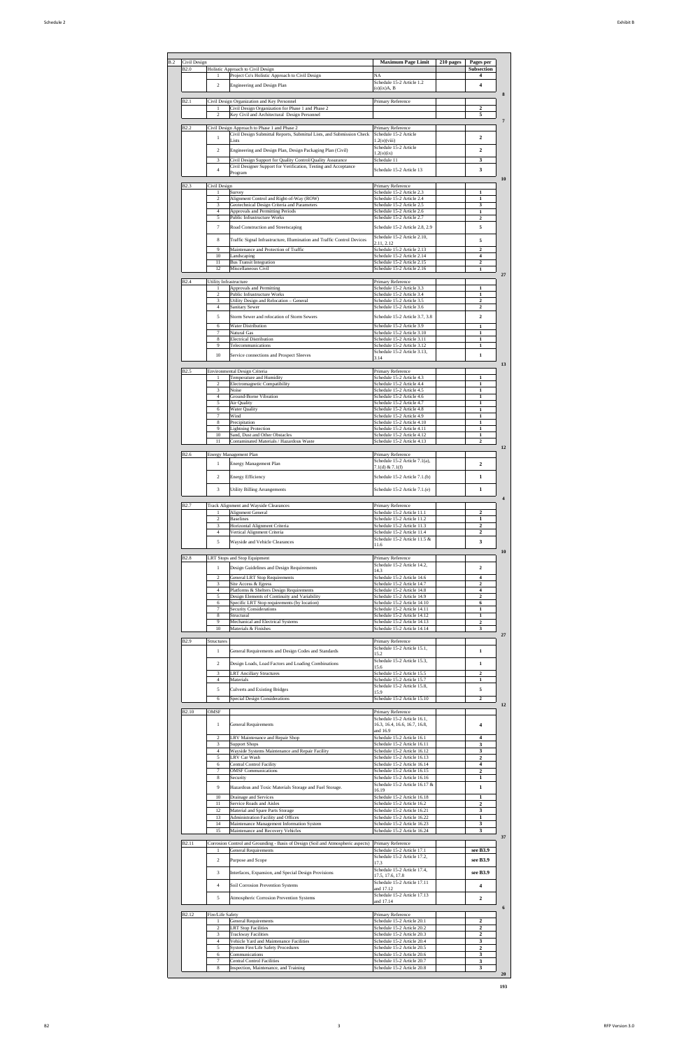| <b>B2.0</b>      | Civil Design               | Holistic Approach to Civil Design                                                                                             | <b>Maximum Page Limit</b>                                                              | 210 pages<br>Pages per<br><b>Subsection</b> |
|------------------|----------------------------|-------------------------------------------------------------------------------------------------------------------------------|----------------------------------------------------------------------------------------|---------------------------------------------|
|                  | 1<br>$\overline{c}$        | Project Co's Holistic Approach to Civil Design<br>Engineering and Design Plan                                                 | NA<br>Schedule 15-2 Article 1.2                                                        | 4<br>4                                      |
|                  |                            |                                                                                                                               | (o)(ix)A, B                                                                            |                                             |
| B <sub>2.1</sub> | $\overline{c}$             | Civil Design Organization and Key Personnel<br>Civil Design Organization for Phase 1 and Phase 2                              | Primary Reference                                                                      | 2                                           |
| <b>B2.2</b>      |                            | Key Civil and Architectural Design Personnel<br>Civil Design Approach to Phase 1 and Phase 2                                  | Primary Reference                                                                      | 5                                           |
|                  | 1                          | Civil Design Submittal Reports, Submittal Lists, and Submission Check<br>Lists                                                | Schedule 15-2 Article<br>1.2 <sub>(o)</sub> (viii)                                     | $\mathbf{2}$                                |
|                  | 2                          | Engineering and Design Plan, Design Packaging Plan (Civil)                                                                    | Schedule 15-2 Article<br>1.2(o)(ix)                                                    | 2                                           |
|                  | 3                          | Civil Design Support for Quality Control/Quality Assurance<br>Civil Designer Support for Verification, Testing and Acceptance | Schedule 11                                                                            | 3                                           |
|                  | $\overline{4}$             | Program                                                                                                                       | Schedule 15-2 Article 13                                                               | 3                                           |
| <b>B2.3</b>      | Civil Design               | Survey                                                                                                                        | Primary Reference<br>Schedule 15-2 Article 2.3                                         | $\mathbf{1}$                                |
|                  | $\overline{c}$<br>3        | Alignment Control and Right-of-Way (ROW)<br>Geotechnical Design Criteria and Parameters                                       | Schedule 15-2 Article 2.4<br>Schedule 15-2 Article 2.5                                 | 1<br>3                                      |
|                  | $\overline{4}$<br>5        | Approvals and Permitting Periods<br>Public Infrastructure Works                                                               | Schedule 15-2 Article 2.6<br>Schedule 15-2 Article 2.7                                 | $\mathbf{1}$<br>$\boldsymbol{2}$            |
|                  | 7                          | Road Construction and Streetscaping                                                                                           | Schedule 15-2 Article 2.8, 2.9                                                         | 5                                           |
|                  | 8<br>9                     | Traffic Signal Infrastructure, Illumination and Traffic Control Devices<br>Maintenance and Protection of Traffic              | Schedule 15-2 Article 2.10,<br>2.11.2.12<br>Schedule 15-2 Article 2.13                 | 5<br>$\overline{2}$                         |
|                  | 10<br>11                   | Landscaping<br><b>Bus Transit Integration</b>                                                                                 | Schedule 15-2 Article 2.14<br>Schedule 15-2 Article 2.15                               | $\overline{\mathbf{4}}$<br>$\mathbf{2}$     |
|                  | 12                         | Miscellaneous Civil                                                                                                           | Schedule 15-2 Article 2.16                                                             | 1                                           |
| <b>B2.4</b>      | Utility Infrastructure     | <b>Approvals and Permitting</b>                                                                                               | Primary Reference<br>Schedule 15-2 Article 3.3                                         | 1                                           |
|                  | $\overline{c}$<br>3        | Public Infrastructure Works<br>Utility Design and Relocation - General                                                        | Schedule 15-2 Article 3.4<br>Schedule 15-2 Article 3.5                                 | $\mathbf{1}$<br>$\boldsymbol{2}$            |
|                  | $\overline{4}$<br>5        | Sanitary Sewer<br>Storm Sewer and relocation of Storm Sewers                                                                  | Schedule 15-2 Article 3.6<br>Schedule 15-2 Article 3.7, 3.8                            | 2<br>$\overline{2}$                         |
|                  | 6<br>7                     | Water Distribution<br>Natural Gas                                                                                             | Schedule 15-2 Article 3.9<br>Schedule 15-2 Article 3.10                                | 1<br>1                                      |
|                  | 8<br>9                     | <b>Electrical Distribution</b><br>Telecommunications                                                                          | Schedule 15-2 Article 3.11<br>Schedule 15-2 Article 3.12                               | $\mathbf{1}$<br>1                           |
|                  | 10                         | Service connections and Prospect Sleeves                                                                                      | Schedule 15-2 Article 3.13,<br>3.14                                                    | $\mathbf{1}$                                |
| <b>B2.5</b>      |                            | Environmental Design Criteria                                                                                                 | Primary Reference                                                                      |                                             |
|                  | $\overline{\mathbf{c}}$    | Temperature and Humidity<br>Electromagnetic Compatibility                                                                     | Schedule 15-2 Article 4.3<br>Schedule 15-2 Article 4.4                                 | 1<br>1                                      |
|                  | 3<br>$\overline{4}$        | Noise<br>Ground-Borne Vibration                                                                                               | Schedule 15-2 Article 4.5<br>Schedule 15-2 Article 4.6                                 | $\mathbf 1$<br>$\mathbf{1}$                 |
|                  | 5<br>6<br>$\overline{7}$   | <b>Air Quality</b><br>Water Quality<br>Wind                                                                                   | Schedule 15-2 Article 4.7<br>Schedule 15-2 Article 4.8<br>Schedule 15-2 Article 4.9    | $\mathbf 1$<br>$\mathbf{1}$<br>$\mathbf{1}$ |
|                  | 8<br>9                     | Precipitation<br><b>Lightning Protection</b>                                                                                  | Schedule 15-2 Article 4.10<br>Schedule 15-2 Article 4.11                               | $\mathbf{1}$<br>$\mathbf{1}$                |
|                  | 10<br>11                   | Sand, Dust and Other Obstacles<br>Contaminated Materials / Hazardous Waste                                                    | Schedule 15-2 Article 4.12<br>Schedule 15-2 Article 4.13                               | Ŧ.<br>$\overline{a}$                        |
| <b>B2.6</b>      |                            | Energy Management Plan                                                                                                        | Primary Reference                                                                      |                                             |
|                  | 1                          | Energy Management Plan                                                                                                        | Schedule 15-2 Article 7.1(a),<br>7.1(d) & 7.1(f)                                       | 2                                           |
|                  | 2                          | <b>Energy Efficiency</b>                                                                                                      | Schedule 15-2 Article 7.1.(b)                                                          | 1                                           |
|                  | 3                          | Utility Billing Arrangements                                                                                                  | Schedule 15-2 Article 7.1.(e)                                                          | 1                                           |
| <b>B2.7</b>      |                            | Track Alignment and Wayside Clearances<br>Alignment General                                                                   | Primary Reference<br>Schedule 15-2 Article 11.1                                        | 2                                           |
|                  | $\overline{c}$<br>3        | <b>Baselines</b><br>Horizontal Alignment Criteria                                                                             | Schedule 15-2 Article 11.2<br>Schedule 15-2 Article 11.3                               | 1<br>2                                      |
|                  | $\overline{4}$             | Vertical Alignment Criteria                                                                                                   | Schedule 15-2 Article 11.4<br>Schedule 15-2 Article 11.5 &                             | 2                                           |
|                  | 5                          | Wayside and Vehicle Clearances                                                                                                | 11.6                                                                                   | 3                                           |
| <b>B2.8</b>      | 1                          | LRT Stops and Stop Equipment<br>Design Guidelines and Design Requirements                                                     | Primary Reference<br>Schedule 15-2 Article 14.2,                                       | $\mathbf{2}$                                |
|                  | 2                          | General LRT Stop Requirements                                                                                                 | 14.3<br>Schedule 15-2 Article 14.6                                                     | 4                                           |
|                  | 3<br>$\overline{4}$<br>5   | Site Access & Egress<br>Platforms & Shelters Design Requirements<br>Design Elements of Continuity and Variability             | Schedule 15-2 Article 14.7<br>Schedule 15-2 Article 14.8<br>Schedule 15-2 Article 14.9 | 2<br>4<br>$\mathbf{2}$                      |
|                  | 6<br>7                     | Specific LRT Stop requirements (by location)<br>Security Considerations                                                       | Schedule 15-2 Article 14.10<br>Schedule 15-2 Article 14.11                             | 6<br>$\mathbf{1}$                           |
|                  | 8<br>9                     | Structural<br>Mechanical and Electrical Systems                                                                               | Schedule 15-2 Article 14.12<br>Schedule 15-2 Article 14.13                             | 1<br>$\boldsymbol{2}$                       |
|                  | 10                         | Materials & Finishes                                                                                                          | Schedule 15-2 Article 14.14                                                            | 3                                           |
| B <sub>2.9</sub> | Structures<br>$\mathbf{1}$ | General Requirements and Design Codes and Standards                                                                           | Primary Reference<br>Schedule 15-2 Article 15.1,                                       | $\mathbf{1}$                                |
|                  | 2                          | Design Loads, Load Factors and Loading Combinations                                                                           | 15.2<br>Schedule 15-2 Article 15.3,                                                    | $\mathbf{1}$                                |
|                  | 3<br>$\overline{4}$        | <b>LRT</b> Ancillary Structures<br>Materials                                                                                  | 15.6<br>Schedule 15-2 Article 15.5<br>Schedule 15-2 Article 15.7                       | $\boldsymbol{2}$<br>1                       |
|                  | 5                          | Culverts and Existing Bridges                                                                                                 | Schedule 15-2 Article 15.8,<br>15.9                                                    | 5                                           |
|                  | 6                          | <b>Special Design Considerations</b>                                                                                          | Schedule 15-2 Article 15.10                                                            | $\boldsymbol{2}$                            |
| <b>B2.10</b>     | OMSF                       |                                                                                                                               | Primary Reference<br>Schedule 15-2 Article 16.1,                                       |                                             |
|                  | 1                          | <b>General Requirements</b>                                                                                                   | 16.3, 16.4, 16.6, 16.7, 16.8,<br>and 16.9                                              | 4                                           |
|                  | $\overline{c}$<br>3        | LRV Maintenance and Repair Shop<br><b>Support Shops</b>                                                                       | Schedule 15-2 Article 16.1<br>Schedule 15-2 Article 16.11                              | 4<br>3                                      |
|                  | $\overline{4}$<br>5        | Wayside Systems Maintenance and Repair Facility<br>LRV Car Wash                                                               | Schedule 15-2 Article 16.12<br>Schedule 15-2 Article 16.13                             | 3<br>2                                      |
|                  | 6<br>$\overline{7}$        | Central Control Facility<br><b>OMSF</b> Communications                                                                        | Schedule 15-2 Article 16.14<br>Schedule 15-2 Article 16.15                             | 4<br>2                                      |
|                  | 8<br>9                     | Security<br>Hazardous and Toxic Materials Storage and Fuel Storage.                                                           | Schedule 15-2 Article 16.16<br>Schedule 15-2 Article 16.17 &<br>16.19                  | 1<br>1                                      |
|                  | 10<br>11                   | Drainage and Services<br>Service Roads and Aisles                                                                             | Schedule 15-2 Article 16.18<br>Schedule 15-2 Article 16.2                              | 1<br>$\mathbf{2}$                           |
|                  | 12<br>13                   | Material and Spare Parts Storage<br>Administration Facility and Offices                                                       | Schedule 15-2 Article 16.21<br>Schedule 15-2 Article 16.22                             | 3<br>$\mathbf{1}$                           |
|                  | 14<br>15                   | Maintenance Management Information System<br>Maintenance and Recovery Vehicles                                                | Schedule 15-2 Article 16.23<br>Schedule 15-2 Article 16.24                             | 3<br>3                                      |
| <b>B2.11</b>     |                            | Corrosion Control and Grounding - Basis of Design (Soil and Atmospheric aspects)                                              | Primary Reference                                                                      |                                             |
|                  |                            | <b>General Requirements</b>                                                                                                   | Schedule 15-2 Article 17.1<br>Schedule 15-2 Article 17.2,                              | see B3.9                                    |
|                  | $\overline{c}$             | Purpose and Scope                                                                                                             | 17.3<br>Schedule 15-2 Article 17.4,                                                    | see B3.9                                    |
|                  | 3                          | Interfaces, Expansion, and Special Design Provisions<br>Soil Corrosion Prevention Systems                                     | 17.5, 17.6, 17.8<br>Schedule 15-2 Article 17.11                                        | see B3.9                                    |
|                  | $\overline{4}$<br>5        | Atmospheric Corrosion Prevention Systems                                                                                      | and 17.12<br>Schedule 15-2 Article 17.13                                               | 4<br>2                                      |
|                  |                            |                                                                                                                               | and 17.14                                                                              |                                             |
| B2.12            | Fire/Life Safety<br>1      | <b>General Requirements</b>                                                                                                   | Primary Reference<br>Schedule 15-2 Article 20.1                                        | 2                                           |
|                  | $\overline{c}$<br>3        | <b>LRT Stop Facilities</b><br><b>Trackway Facilities</b>                                                                      | Schedule 15-2 Article 20.2<br>Schedule 15-2 Article 20.3                               | $\boldsymbol{2}$<br>2                       |
|                  | $\overline{4}$<br>5        | Vehicle Yard and Maintenance Facilities<br>System Fire/Life Safety Procedures                                                 | Schedule 15-2 Article 20.4<br>Schedule 15-2 Article 20.5                               | 3<br>$\mathbf{2}$                           |
|                  | 6                          | Communications                                                                                                                | Schedule 15-2 Article 20.6<br>Schedule 15-2 Article 20.7                               | 3                                           |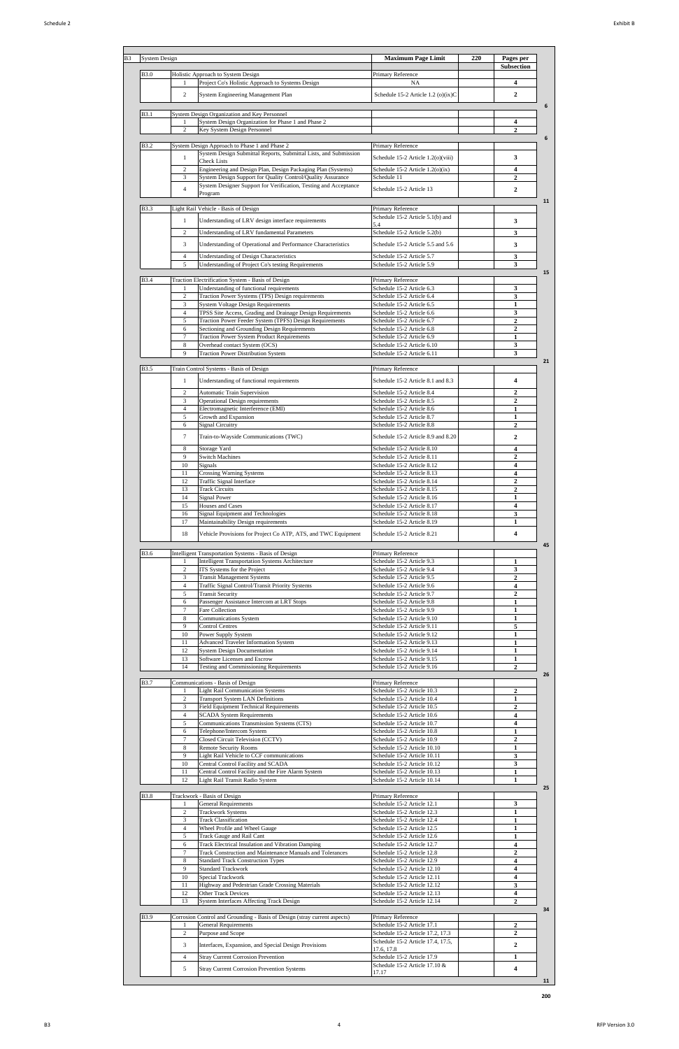| <b>System Design</b> |                                |                                                                                                                             | <b>Maximum Page Limit</b>                                   | 220 | Pages per<br><b>Subsection</b> |
|----------------------|--------------------------------|-----------------------------------------------------------------------------------------------------------------------------|-------------------------------------------------------------|-----|--------------------------------|
| <b>B3.0</b>          | $\mathbf{1}$                   | Holistic Approach to System Design<br>Project Co's Holistic Approach to Systems Design                                      | Primary Reference<br><b>NA</b>                              |     | 4                              |
|                      | $\overline{c}$                 | System Engineering Management Plan                                                                                          | Schedule 15-2 Article 1.2 (o) $(ix)C$                       |     | 2                              |
|                      |                                |                                                                                                                             |                                                             |     |                                |
| <b>B3.1</b>          |                                | System Design Organization and Key Personnel                                                                                |                                                             |     |                                |
|                      | $\mathbf{1}$<br>$\overline{2}$ | System Design Organization for Phase 1 and Phase 2<br>Key System Design Personnel                                           |                                                             |     | 4<br>$\overline{2}$            |
|                      |                                |                                                                                                                             |                                                             |     |                                |
| <b>B3.2</b>          |                                | System Design Approach to Phase 1 and Phase 2<br>System Design Submittal Reports, Submittal Lists, and Submission           | Primary Reference                                           |     |                                |
|                      | $\mathbf{1}$                   | <b>Check Lists</b>                                                                                                          | Schedule 15-2 Article 1.2(o)(viii)                          |     | 3                              |
|                      | $\overline{c}$<br>3            | Engineering and Design Plan, Design Packaging Plan (Systems)<br>System Design Support for Quality Control/Quality Assurance | Schedule 15-2 Article $1.2(0)(ix)$<br>Schedule 11           |     | 4<br>$\overline{2}$            |
|                      | $\overline{4}$                 | System Designer Support for Verification, Testing and Acceptance                                                            | Schedule 15-2 Article 13                                    |     | $\overline{2}$                 |
|                      |                                | Program                                                                                                                     |                                                             |     |                                |
| <b>B3.3</b>          |                                | Light Rail Vehicle - Basis of Design                                                                                        | Primary Reference                                           |     |                                |
|                      | $\mathbf{1}$                   | Understanding of LRV design interface requirements                                                                          | Schedule 15-2 Article 5.1(b) and<br>5.4                     |     | 3                              |
|                      | 2                              | Understanding of LRV fundamental Parameters                                                                                 | Schedule 15-2 Article 5.2(b)                                |     | 3                              |
|                      | 3                              | Understanding of Operational and Performance Characteristics                                                                | Schedule 15-2 Article 5.5 and 5.6                           |     | 3                              |
|                      | 4                              | <b>Understanding of Design Characteristics</b>                                                                              | Schedule 15-2 Article 5.7                                   |     | 3                              |
|                      | 5                              | Understanding of Project Co's testing Requirements                                                                          | Schedule 15-2 Article 5.9                                   |     | 3                              |
| <b>B</b> 3.4         |                                | Traction Electrification System - Basis of Design                                                                           | Primary Reference                                           |     |                                |
|                      | 1<br>$\overline{c}$            | Understanding of functional requirements<br>Traction Power Systems (TPS) Design requirements                                | Schedule 15-2 Article 6.3<br>Schedule 15-2 Article 6.4      |     | 3<br>3                         |
|                      | 3                              | <b>System Voltage Design Requirements</b>                                                                                   | Schedule 15-2 Article 6.5                                   |     | $\mathbf{1}$                   |
|                      | $\overline{4}$                 | TPSS Site Access, Grading and Drainage Design Requirements                                                                  | Schedule 15-2 Article 6.6                                   |     | 3                              |
|                      | 5<br>6                         | Traction Power Feeder System (TPFS) Design Requirements<br>Sectioning and Grounding Design Requirements                     | Schedule 15-2 Article 6.7<br>Schedule 15-2 Article 6.8      |     | 2<br>$\mathbf{2}$              |
|                      | $\overline{7}$                 | <b>Traction Power System Product Requirements</b>                                                                           | Schedule 15-2 Article 6.9                                   |     | 1                              |
|                      | 8<br>9                         | Overhead contact System (OCS)<br><b>Traction Power Distribution System</b>                                                  | Schedule 15-2 Article 6.10<br>Schedule 15-2 Article 6.11    |     | 3<br>3                         |
|                      |                                |                                                                                                                             |                                                             |     |                                |
| <b>B3.5</b>          |                                | Train Control Systems - Basis of Design                                                                                     | Primary Reference                                           |     |                                |
|                      | $\mathbf{1}$                   | Understanding of functional requirements                                                                                    | Schedule 15-2 Article 8.1 and 8.3                           |     | 4                              |
|                      | $\overline{c}$                 | Automatic Train Supervision                                                                                                 | Schedule 15-2 Article 8.4                                   |     | 2                              |
|                      | 3<br>$\overline{4}$            | Operational Design requirements<br>Electromagnetic Interference (EMI)                                                       | Schedule 15-2 Article 8.5<br>Schedule 15-2 Article 8.6      |     | $\overline{2}$<br>1            |
|                      | 5                              | Growth and Expansion                                                                                                        | Schedule 15-2 Article 8.7                                   |     | 1                              |
|                      | 6                              | <b>Signal Circuitry</b>                                                                                                     | Schedule 15-2 Article 8.8                                   |     | $\overline{2}$                 |
|                      | 7                              | Train-to-Wayside Communications (TWC)                                                                                       | Schedule 15-2 Article 8.9 and 8.20                          |     | $\overline{2}$                 |
|                      | 8                              | Storage Yard                                                                                                                | Schedule 15-2 Article 8.10                                  |     | 4                              |
|                      | 9<br>10                        | <b>Switch Machines</b><br>Signals                                                                                           | Schedule 15-2 Article 8.11<br>Schedule 15-2 Article 8.12    |     | 2<br>4                         |
|                      | 11                             | Crossing Warning Systems                                                                                                    | Schedule 15-2 Article 8.13                                  |     | 4                              |
|                      | 12                             | Traffic Signal Interface                                                                                                    | Schedule 15-2 Article 8.14                                  |     | 2                              |
|                      | 13<br>14                       | <b>Track Circuits</b><br>Signal Power                                                                                       | Schedule 15-2 Article 8.15<br>Schedule 15-2 Article 8.16    |     | $\mathbf{2}$<br>$\mathbf{1}$   |
|                      | 15                             | Houses and Cases                                                                                                            | Schedule 15-2 Article 8.17                                  |     | 4                              |
|                      | 16<br>17                       | Signal Equipment and Technologies<br>Maintainability Design requirements                                                    | Schedule 15-2 Article 8.18<br>Schedule 15-2 Article 8.19    |     | 3<br>1                         |
|                      | 18                             | Vehicle Provisions for Project Co ATP, ATS, and TWC Equipment                                                               | Schedule 15-2 Article 8.21                                  |     | 4                              |
|                      |                                |                                                                                                                             |                                                             |     |                                |
| <b>B3.6</b>          |                                | Intelligent Transportation Systems - Basis of Design                                                                        | Primary Reference                                           |     |                                |
|                      | 1                              | <b>Intelligent Transportation Systems Architecture</b>                                                                      | Schedule 15-2 Article 9.3                                   |     | 1                              |
|                      | $\overline{c}$<br>3            | ITS Systems for the Project<br><b>Transit Management Systems</b>                                                            | Schedule 15-2 Article 9.4<br>Schedule 15-2 Article 9.5      |     | 3<br>2                         |
|                      | $\overline{4}$                 | Traffic Signal Control/Transit Priority Systems                                                                             | Schedule 15-2 Article 9.6                                   |     | 4                              |
|                      | 5<br>6                         | <b>Transit Security</b><br>Passenger Assistance Intercom at LRT Stops                                                       | Schedule 15-2 Article 9.7<br>Schedule 15-2 Article 9.8      |     | 2<br>$\mathbf{1}$              |
|                      | 7                              | Fare Collection                                                                                                             | Schedule 15-2 Article 9.9                                   |     | 1                              |
|                      | 8                              | <b>Communications System</b>                                                                                                | Schedule 15-2 Article 9.10                                  |     | 1                              |
|                      | 9<br>10                        | <b>Control Centres</b><br>Power Supply System                                                                               | Schedule 15-2 Article 9.11<br>Schedule 15-2 Article 9.12    |     | 5<br>$\mathbf{1}$              |
|                      | 11                             | <b>Advanced Traveler Information System</b>                                                                                 | Schedule 15-2 Article 9.13                                  |     | 1                              |
|                      | 12<br>13                       | <b>System Design Documentation</b><br>Software Licenses and Escrow                                                          | Schedule 15-2 Article 9.14<br>Schedule 15-2 Article 9.15    |     | 1<br>$\mathbf{1}$              |
|                      | 14                             | Testing and Commissioning Requirements                                                                                      | Schedule 15-2 Article 9.16                                  |     | 2                              |
|                      |                                |                                                                                                                             |                                                             |     |                                |
| <b>B3.7</b>          | 1                              | Communications - Basis of Design<br><b>Light Rail Communication Systems</b>                                                 | Primary Reference<br>Schedule 15-2 Article 10.3             |     | 2                              |
|                      | $\overline{c}$                 | <b>Transport System LAN Definitions</b>                                                                                     | Schedule 15-2 Article 10.4                                  |     | $\mathbf{1}$                   |
|                      | 3<br>$\overline{4}$            | Field Equipment Technical Requirements<br><b>SCADA System Requirements</b>                                                  | Schedule 15-2 Article 10.5<br>Schedule 15-2 Article 10.6    |     | 2<br>4                         |
|                      | 5                              | Communications Transmission Systems (CTS)                                                                                   | Schedule 15-2 Article 10.7                                  |     | 4                              |
|                      | 6                              | Telephone/Intercom System                                                                                                   | Schedule 15-2 Article 10.8                                  |     | 1                              |
|                      | $\tau$<br>8                    | Closed Circuit Television (CCTV)<br><b>Remote Security Rooms</b>                                                            | Schedule 15-2 Article 10.9<br>Schedule 15-2 Article 10.10   |     | 2<br>$\mathbf{1}$              |
|                      | 9                              | Light Rail Vehicle to CCF communications                                                                                    | Schedule 15-2 Article 10.11                                 |     | 3                              |
|                      | 10<br>11                       | Central Control Facility and SCADA<br>Central Control Facility and the Fire Alarm System                                    | Schedule 15-2 Article 10.12<br>Schedule 15-2 Article 10.13  |     | 3<br>$\mathbf{1}$              |
|                      | 12                             | Light Rail Transit Radio System                                                                                             | Schedule 15-2 Article 10.14                                 |     | 1                              |
| <b>B3.8</b>          |                                | Trackwork - Basis of Design                                                                                                 | Primary Reference                                           |     |                                |
|                      | 1                              | <b>General Requirements</b>                                                                                                 | Schedule 15-2 Article 12.1                                  |     | 3                              |
|                      | $\overline{c}$                 | <b>Trackwork Systems</b>                                                                                                    | Schedule 15-2 Article 12.3                                  |     | $\mathbf{1}$                   |
|                      | 3<br>$\overline{4}$            | Track Classification<br>Wheel Profile and Wheel Gauge                                                                       | Schedule 15-2 Article 12.4<br>Schedule 15-2 Article 12.5    |     | 1<br>1                         |
|                      | 5                              | Track Gauge and Rail Cant                                                                                                   | Schedule 15-2 Article 12.6                                  |     | 1                              |
|                      | 6<br>$\tau$                    | Track Electrical Insulation and Vibration Damping<br>Track Construction and Maintenance Manuals and Tolerances              | Schedule 15-2 Article 12.7<br>Schedule 15-2 Article 12.8    |     | 4<br>2                         |
|                      | 8                              | <b>Standard Track Construction Types</b>                                                                                    | Schedule 15-2 Article 12.9                                  |     | 4                              |
|                      | 9                              | <b>Standard Trackwork</b>                                                                                                   | Schedule 15-2 Article 12.10                                 |     | 4                              |
|                      | 10<br>11                       | <b>Special Trackwork</b><br>Highway and Pedestrian Grade Crossing Materials                                                 | Schedule 15-2 Article 12.11<br>Schedule 15-2 Article 12.12  |     | 4<br>3                         |
|                      | 12                             | <b>Other Track Devices</b>                                                                                                  | Schedule 15-2 Article 12.13                                 |     | 4                              |
|                      | 13                             | System Interfaces Affecting Track Design                                                                                    | Schedule 15-2 Article 12.14                                 |     | 2                              |
| <b>B3.9</b>          |                                | Corrosion Control and Grounding - Basis of Design (stray current aspects)                                                   | Primary Reference                                           |     |                                |
|                      | 1                              | <b>General Requirements</b>                                                                                                 | Schedule 15-2 Article 17.1                                  |     | 2                              |
|                      | 2                              | Purpose and Scope                                                                                                           | Schedule 15-2 Article 17.2, 17.3                            |     | 2                              |
|                      | 3                              | Interfaces, Expansion, and Special Design Provisions                                                                        | Schedule 15-2 Article 17.4, 17.5,<br>17.6, 17.8             |     | $\mathbf{2}$                   |
|                      |                                |                                                                                                                             |                                                             |     |                                |
|                      | $\overline{4}$                 | <b>Stray Current Corrosion Prevention</b>                                                                                   | Schedule 15-2 Article 17.9<br>Schedule 15-2 Article 17.10 & |     | 1                              |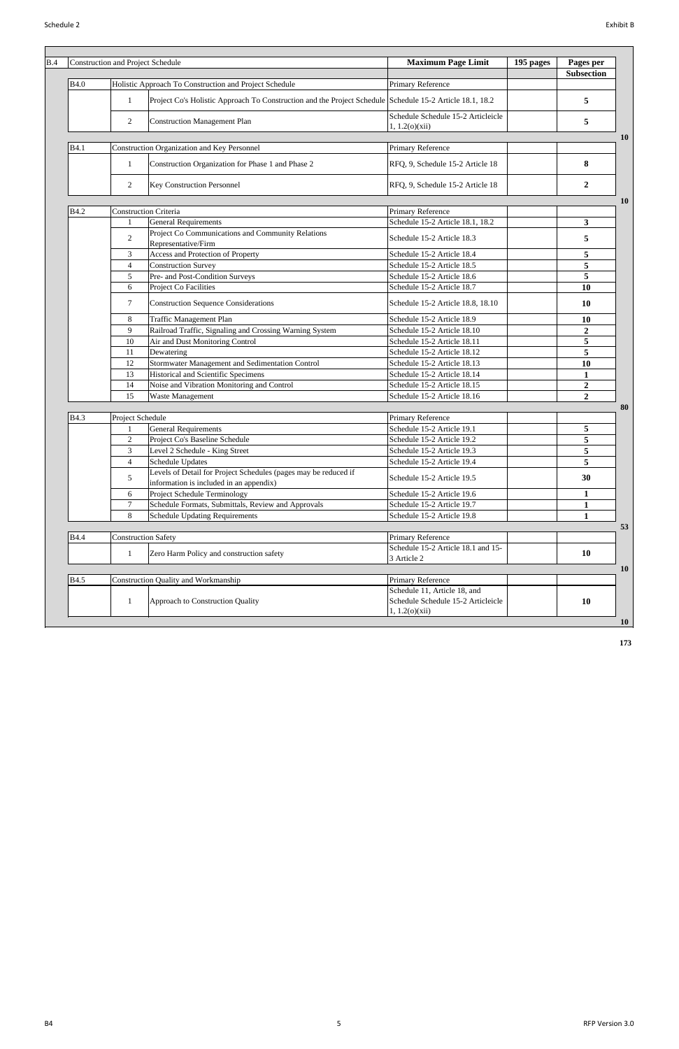|             | Construction and Project Schedule |                                                                                                            | <b>Maximum Page Limit</b><br>195 pages                                               |  | Pages per<br><b>Subsection</b> |
|-------------|-----------------------------------|------------------------------------------------------------------------------------------------------------|--------------------------------------------------------------------------------------|--|--------------------------------|
| <b>B4.0</b> |                                   | Holistic Approach To Construction and Project Schedule                                                     | Primary Reference                                                                    |  |                                |
|             | 1                                 | Project Co's Holistic Approach To Construction and the Project Schedule   Schedule 15-2 Article 18.1, 18.2 |                                                                                      |  | 5                              |
|             | 2                                 | <b>Construction Management Plan</b>                                                                        | Schedule Schedule 15-2 Articleicle<br>1, 1.2(0)(xii)                                 |  | 5 <sup>5</sup>                 |
|             |                                   |                                                                                                            |                                                                                      |  |                                |
| <b>B4.1</b> |                                   | Construction Organization and Key Personnel                                                                | Primary Reference                                                                    |  |                                |
|             | 1                                 | Construction Organization for Phase 1 and Phase 2                                                          | RFQ, 9, Schedule 15-2 Article 18                                                     |  | 8                              |
|             | 2                                 | <b>Key Construction Personnel</b>                                                                          | RFQ, 9, Schedule 15-2 Article 18                                                     |  | $\overline{2}$                 |
|             |                                   |                                                                                                            |                                                                                      |  |                                |
| <b>B4.2</b> | <b>Construction Criteria</b>      |                                                                                                            | Primary Reference                                                                    |  |                                |
|             | 1                                 | General Requirements                                                                                       | Schedule 15-2 Article 18.1, 18.2                                                     |  | 3 <sup>1</sup>                 |
|             | 2                                 | Project Co Communications and Community Relations<br>Representative/Firm                                   | Schedule 15-2 Article 18.3                                                           |  | 5                              |
|             | 3                                 | Access and Protection of Property                                                                          | Schedule 15-2 Article 18.4                                                           |  | 5                              |
|             | $\overline{4}$                    | <b>Construction Survey</b>                                                                                 | Schedule 15-2 Article 18.5                                                           |  | 5                              |
|             | 5                                 | Pre- and Post-Condition Surveys                                                                            | Schedule 15-2 Article 18.6                                                           |  | 5                              |
|             | 6                                 | Project Co Facilities                                                                                      | Schedule 15-2 Article 18.7                                                           |  | 10                             |
|             | 7                                 | <b>Construction Sequence Considerations</b>                                                                | Schedule 15-2 Article 18.8, 18.10                                                    |  | 10                             |
|             | 8                                 | Traffic Management Plan                                                                                    | Schedule 15-2 Article 18.9                                                           |  | 10                             |
|             | $\overline{9}$                    | Railroad Traffic, Signaling and Crossing Warning System                                                    | Schedule 15-2 Article 18.10                                                          |  | $\overline{2}$                 |
|             | 10                                | Air and Dust Monitoring Control                                                                            | Schedule 15-2 Article 18.11                                                          |  | 5                              |
|             | 11                                | Dewatering                                                                                                 | Schedule 15-2 Article 18.12                                                          |  | 5                              |
|             | 12                                | Stormwater Management and Sedimentation Control                                                            | Schedule 15-2 Article 18.13                                                          |  | 10                             |
|             | 13                                | Historical and Scientific Specimens                                                                        | Schedule 15-2 Article 18.14                                                          |  | $\mathbf{1}$                   |
|             | 14                                | Noise and Vibration Monitoring and Control                                                                 | Schedule 15-2 Article 18.15                                                          |  | $\overline{2}$                 |
|             | 15                                | Waste Management                                                                                           | Schedule 15-2 Article 18.16                                                          |  | $\mathbf{2}$                   |
| <b>B4.3</b> | Project Schedule                  |                                                                                                            | <b>Primary Reference</b>                                                             |  |                                |
|             | 1                                 | <b>General Requirements</b>                                                                                | Schedule 15-2 Article 19.1                                                           |  | 5                              |
|             | $\overline{2}$                    | Project Co's Baseline Schedule                                                                             | Schedule 15-2 Article 19.2                                                           |  | 5                              |
|             | $\mathfrak{Z}$                    | Level 2 Schedule - King Street                                                                             | Schedule 15-2 Article 19.3                                                           |  | 5                              |
|             | $\overline{4}$                    | <b>Schedule Updates</b>                                                                                    | Schedule 15-2 Article 19.4                                                           |  | 5 <sup>5</sup>                 |
|             | 5                                 | Levels of Detail for Project Schedules (pages may be reduced if<br>information is included in an appendix) | Schedule 15-2 Article 19.5                                                           |  | 30                             |
|             | 6                                 | Project Schedule Terminology                                                                               | Schedule 15-2 Article 19.6                                                           |  | 1                              |
|             | $\tau$                            | Schedule Formats, Submittals, Review and Approvals                                                         | Schedule 15-2 Article 19.7                                                           |  | 1                              |
|             | 8                                 | <b>Schedule Updating Requirements</b>                                                                      | Schedule 15-2 Article 19.8                                                           |  | $\mathbf{1}$                   |
|             |                                   |                                                                                                            |                                                                                      |  |                                |
| <b>B4.4</b> | <b>Construction Safety</b>        |                                                                                                            | Primary Reference                                                                    |  |                                |
|             | $\mathbf{1}$                      | Zero Harm Policy and construction safety                                                                   | Schedule 15-2 Article 18.1 and 15-<br>3 Article 2                                    |  | 10                             |
| <b>B4.5</b> |                                   | Construction Quality and Workmanship                                                                       | Primary Reference                                                                    |  |                                |
|             | 1                                 | Approach to Construction Quality                                                                           | Schedule 11, Article 18, and<br>Schedule Schedule 15-2 Articleicle<br>1, 1.2(o)(xii) |  | 10                             |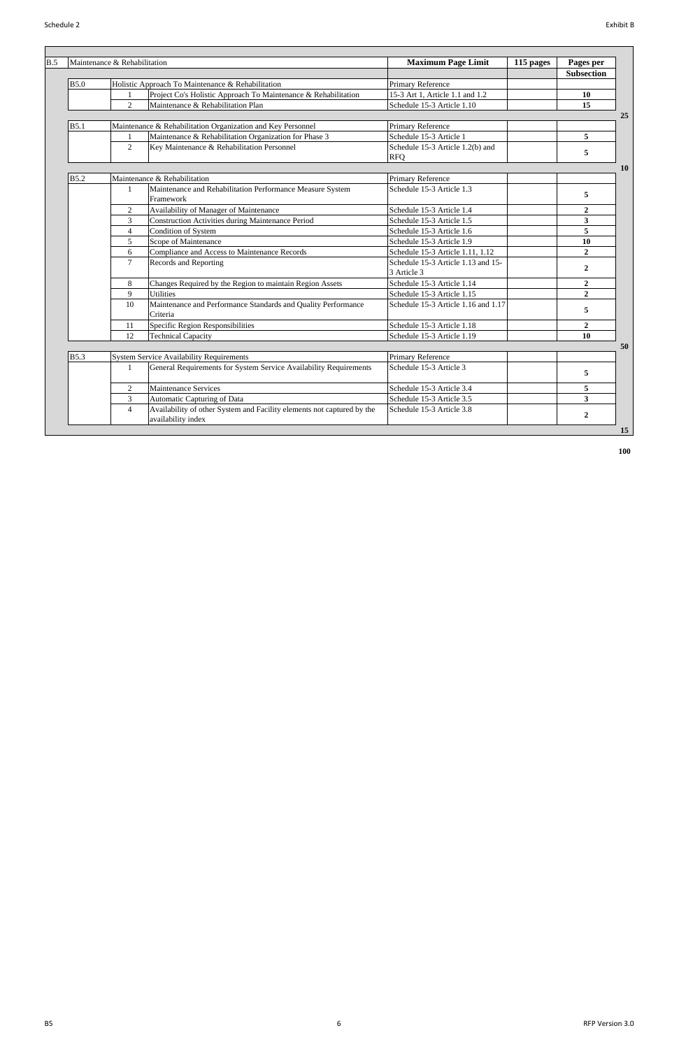|             | Maintenance & Rehabilitation                      |                                                                                              | <b>Maximum Page Limit</b>                         | 115 pages | Pages per               |  |
|-------------|---------------------------------------------------|----------------------------------------------------------------------------------------------|---------------------------------------------------|-----------|-------------------------|--|
|             |                                                   |                                                                                              |                                                   |           | <b>Subsection</b>       |  |
| <b>B5.0</b> | Holistic Approach To Maintenance & Rehabilitation |                                                                                              | <b>Primary Reference</b>                          |           |                         |  |
|             | $\mathbf{1}$                                      | Project Co's Holistic Approach To Maintenance & Rehabilitation                               | 15-3 Art 1, Article 1.1 and 1.2                   |           | 10                      |  |
|             | $\mathcal{L}$                                     | Maintenance & Rehabilitation Plan                                                            | Schedule 15-3 Article 1.10                        |           | 15                      |  |
| <b>B5.1</b> |                                                   | Maintenance & Rehabilitation Organization and Key Personnel                                  | Primary Reference                                 |           |                         |  |
|             |                                                   | Maintenance & Rehabilitation Organization for Phase 3                                        | Schedule 15-3 Article 1                           |           | 5                       |  |
|             | 2                                                 | Key Maintenance & Rehabilitation Personnel                                                   | Schedule 15-3 Article 1.2(b) and<br><b>RFQ</b>    |           | 5                       |  |
|             |                                                   |                                                                                              |                                                   |           |                         |  |
| <b>B5.2</b> |                                                   | Maintenance & Rehabilitation                                                                 | Primary Reference                                 |           |                         |  |
|             | 1                                                 | Maintenance and Rehabilitation Performance Measure System<br>Framework                       | Schedule 15-3 Article 1.3                         |           | 5                       |  |
|             | 2                                                 | Availability of Manager of Maintenance                                                       | Schedule 15-3 Article 1.4                         |           | $\overline{2}$          |  |
|             | 3                                                 | <b>Construction Activities during Maintenance Period</b>                                     | Schedule 15-3 Article 1.5                         |           | $\overline{\mathbf{3}}$ |  |
|             | $\overline{4}$                                    | Condition of System                                                                          | Schedule 15-3 Article 1.6                         |           | 5 <sup>5</sup>          |  |
|             | 5                                                 | Scope of Maintenance                                                                         | Schedule 15-3 Article 1.9                         |           | 10                      |  |
|             | 6                                                 | Compliance and Access to Maintenance Records                                                 | Schedule 15-3 Article 1.11, 1.12                  |           | $\overline{2}$          |  |
|             | $\tau$                                            | Records and Reporting                                                                        | Schedule 15-3 Article 1.13 and 15-<br>3 Article 3 |           | $\overline{2}$          |  |
|             | 8                                                 | Changes Required by the Region to maintain Region Assets                                     | Schedule 15-3 Article 1.14                        |           | $\overline{2}$          |  |
|             | $\mathbf{Q}$                                      | <b>Utilities</b>                                                                             | Schedule 15-3 Article 1.15                        |           | $\overline{2}$          |  |
|             | 10                                                | Maintenance and Performance Standards and Quality Performance<br>Criteria                    | Schedule 15-3 Article 1.16 and 1.17               |           | 5                       |  |
|             | 11                                                | Specific Region Responsibilities                                                             | Schedule 15-3 Article 1.18                        |           | $\overline{2}$          |  |
|             | 12                                                | <b>Technical Capacity</b>                                                                    | Schedule 15-3 Article 1.19                        |           | 10                      |  |
|             |                                                   |                                                                                              |                                                   |           |                         |  |
| <b>B5.3</b> |                                                   | <b>System Service Availability Requirements</b>                                              | Primary Reference                                 |           |                         |  |
|             | $\mathbf{1}$                                      | General Requirements for System Service Availability Requirements                            | Schedule 15-3 Article 3                           |           | 5                       |  |
|             | 2                                                 | <b>Maintenance Services</b>                                                                  | Schedule 15-3 Article 3.4                         |           | 5                       |  |
|             | $\overline{3}$                                    | Automatic Capturing of Data                                                                  | Schedule 15-3 Article 3.5                         |           | 3 <sup>1</sup>          |  |
|             | $\overline{4}$                                    | Availability of other System and Facility elements not captured by the<br>availability index | Schedule 15-3 Article 3.8                         |           | $\overline{2}$          |  |